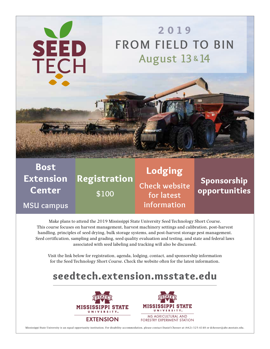

Bost **Extension** Center **MSU campus** Registration **\$100** Lodging **Check website for latest information** Sponsorship opportunities

Make plans to attend the 2019 Mississippi State University Seed Technology Short Course. This course focuses on harvest management, harvest machinery settings and calibration, post-harvest handling, principles of seed drying, bulk storage systems, and post-harvest storage pest management. Seed certification, sampling and grading, seed quality evaluation and testing, and state and federal laws associated with seed labeling and tracking will also be discussed.

Visit the link below for registration, agenda, lodging, contact, and sponsorship information for the Seed Technology Short Course. Check the website often for the latest information.

# seedtech.extension.msstate.edu





Mississippi State University is an equal opportunity institution. For disability accommodation, please contact Daniel Chesser at (662)-325-4148 or dchesser@abe.msstate.edu.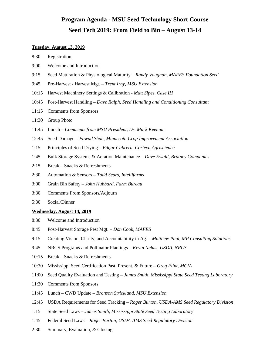### **Program Agenda - MSU Seed Technology Short Course Seed Tech 2019: From Field to Bin – August 13-14**

#### **Tuesday, August 13, 2019**

- 8:30 Registration
- 9:00 Welcome and Introduction
- 9:15 Seed Maturation & Physiological Maturity *Randy Vaughan, MAFES Foundation Seed*
- 9:45 Pre-Harvest / Harvest Mgt. *Trent Irby, MSU Extension*
- 10:15 Harvest Machinery Settings & Calibration *Matt Sipes, Case IH*
- 10:45 Post-Harvest Handling *Dave Ralph, Seed Handling and Conditioning Consultant*
- 11:15 Comments from Sponsors
- 11:30 Group Photo
- 11:45 Lunch *Comments from MSU President, Dr. Mark Keenum*
- 12:45 Seed Damage *Fawad Shah, Minnesota Crop Improvement Association*
- 1:15 Principles of Seed Drying *Edgar Cabrera, Corteva Agriscience*
- 1:45 Bulk Storage Systems & Aeration Maintenance *– Dave Ewald, Bratney Companies*
- 2:15 Break Snacks & Refreshments
- 2:30 Automation & Sensors *– Todd Sears, Intellifarms*
- 3:00 Grain Bin Safety *John Hubbard, Farm Bureau*
- 3:30 Comments From Sponsors/Adjourn
- 5:30 Social/Dinner

#### **Wednesday, August 14, 2019**

- 8:30 Welcome and Introduction
- 8:45 Post-Harvest Storage Pest Mgt. *– Don Cook, MAFES*
- 9:15 Creating Vision, Clarity, and Accountability in Ag. *Matthew Paul, MP Consulting Solutions*
- 9:45 NRCS Programs and Pollinator Plantings *Kevin Nelms, USDA, NRCS*
- 10:15 Break Snacks & Refreshments
- 10:30 Mississippi Seed Certification Past, Present, & Future *Greg Flint, MCIA*
- 11:00 Seed Quality Evaluation and Testing *James Smith, Mississippi State Seed Testing Laboratory*
- 11:30 Comments from Sponsors
- 11:45 Lunch CWD Update *Bronson Strickland, MSU Extension*
- 12:45 USDA Requirements for Seed Tracking *Roger Burton, USDA-AMS Seed Regulatory Division*
- 1:15 State Seed Laws *James Smith, Mississippi State Seed Testing Laboratory*
- 1:45 Federal Seed Laws *Roger Burton, USDA-AMS Seed Regulatory Division*
- 2:30 Summary, Evaluation, & Closing